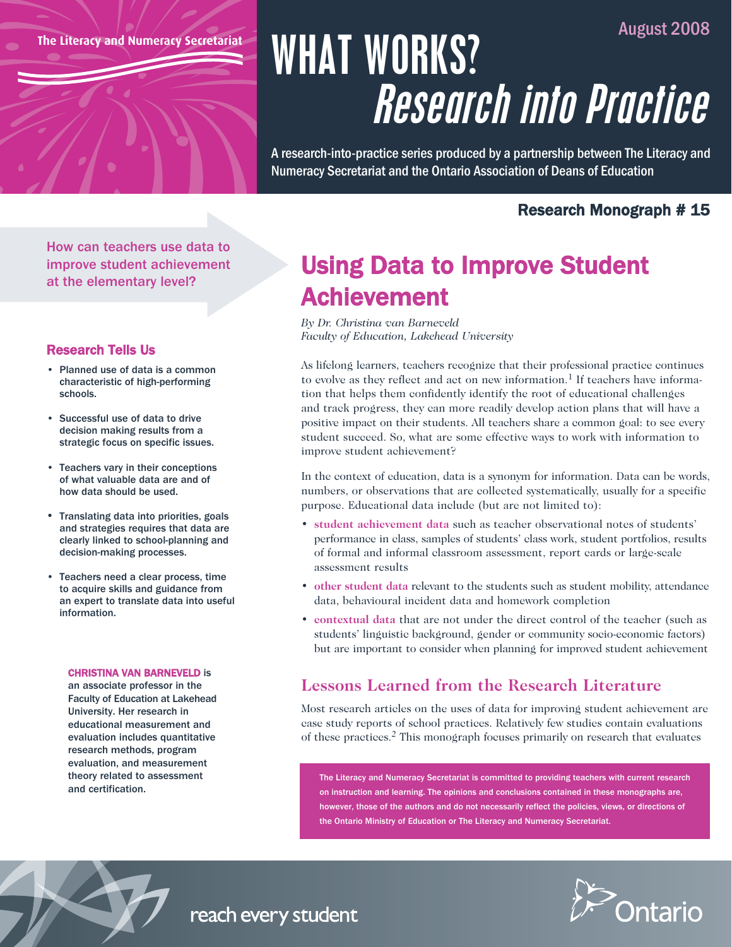**The Literacy and Numeracy Secretariat**

# August 2008 WHAT WORKS? Research into Practice

A research-into-practice series produced by a partnership between The Literacy and Numeracy Secretariat and the Ontario Association of Deans of Education

## Research Monograph # 15

How can teachers use data to improve student achievement at the elementary level?

## Research Tells Us

- Planned use of data is a common characteristic of high-performing schools.
- Successful use of data to drive decision making results from a strategic focus on specific issues.
- Teachers vary in their conceptions of what valuable data are and of how data should be used.
- Translating data into priorities, goals and strategies requires that data are clearly linked to school-planning and decision-making processes.
- Teachers need a clear process, time to acquire skills and guidance from an expert to translate data into useful information.

#### CHRISTINA VAN BARNEVELD is

an associate professor in the Faculty of Education at Lakehead University. Her research in educational measurement and evaluation includes quantitative research methods, program evaluation, and measurement theory related to assessment and certification.

## Using Data to Improve Student Achievement

*By Dr. Christina van Barneveld Faculty of Education, Lakehead University*

As lifelong learners, teachers recognize that their professional practice continues to evolve as they reflect and act on new information.<sup>1</sup> If teachers have information that helps them confidently identify the root of educational challenges and track progress, they can more readily develop action plans that will have a positive impact on their students. All teachers share a common goal: to see every student succeed. So, what are some effective ways to work with information to improve student achievement?

In the context of education, data is a synonym for information. Data can be words, numbers, or observations that are collected systematically, usually for a specific purpose. Educational data include (but are not limited to):

- **student achievement data** such as teacher observational notes of students' performance in class, samples of students' class work, student portfolios, results of formal and informal classroom assessment, report cards or large-scale assessment results
- **other student data** relevant to the students such as student mobility, attendance data, behavioural incident data and homework completion
- **contextual data** that are not under the direct control of the teacher (such as students' linguistic background, gender or community socio-economic factors) but are important to consider when planning for improved student achievement

## **Lessons Learned from the Research Literature**

Most research articles on the uses of data for improving student achievement are case study reports of school practices. Relatively few studies contain evaluations of these practices.2 This monograph focuses primarily on research that evaluates

The Literacy and Numeracy Secretariat is committed to providing teachers with current research on instruction and learning. The opinions and conclusions contained in these monographs are, however, those of the authors and do not necessarily reflect the policies, views, or directions of the Ontario Ministry of Education or The Literacy and Numeracy Secretariat.





reach every student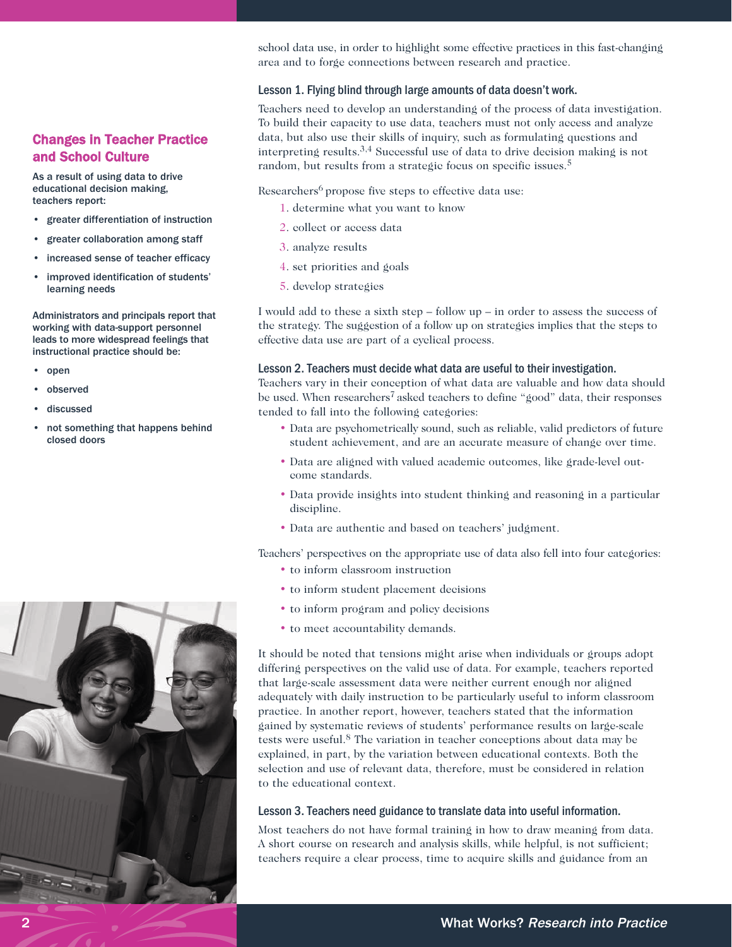#### Changes in Teacher Practice and School Culture

As a result of using data to drive educational decision making, teachers report:

- greater differentiation of instruction
- greater collaboration among staff
- increased sense of teacher efficacy
- improved identification of students' learning needs

Administrators and principals report that working with data-support personnel leads to more widespread feelings that instructional practice should be:

- open
- observed
- discussed
- not something that happens behind closed doors



school data use, in order to highlight some effective practices in this fast-changing area and to forge connections between research and practice.

#### Lesson 1. Flying blind through large amounts of data doesn't work.

Teachers need to develop an understanding of the process of data investigation. To build their capacity to use data, teachers must not only access and analyze data, but also use their skills of inquiry, such as formulating questions and interpreting results.3,4 Successful use of data to drive decision making is not random, but results from a strategic focus on specific issues.<sup>5</sup>

Researchers<sup>6</sup> propose five steps to effective data use:

- 1. determine what you want to know
- 2. collect or access data
- 3. analyze results
- 4. set priorities and goals
- 5. develop strategies

I would add to these a sixth step – follow up – in order to assess the success of the strategy. The suggestion of a follow up on strategies implies that the steps to effective data use are part of a cyclical process.

#### Lesson 2. Teachers must decide what data are useful to their investigation.

Teachers vary in their conception of what data are valuable and how data should be used. When researchers<sup>7</sup> asked teachers to define "good" data, their responses tended to fall into the following categories:

- Data are psychometrically sound, such as reliable, valid predictors of future student achievement, and are an accurate measure of change over time.
- Data are aligned with valued academic outcomes, like grade-level outcome standards.
- Data provide insights into student thinking and reasoning in a particular discipline.
- Data are authentic and based on teachers' judgment.

Teachers' perspectives on the appropriate use of data also fell into four categories:

- to inform classroom instruction
- to inform student placement decisions
- to inform program and policy decisions
- to meet accountability demands.

It should be noted that tensions might arise when individuals or groups adopt differing perspectives on the valid use of data. For example, teachers reported that large-scale assessment data were neither current enough nor aligned adequately with daily instruction to be particularly useful to inform classroom practice. In another report, however, teachers stated that the information gained by systematic reviews of students' performance results on large-scale tests were useful.<sup>8</sup> The variation in teacher conceptions about data may be explained, in part, by the variation between educational contexts. Both the selection and use of relevant data, therefore, must be considered in relation to the educational context.

#### Lesson 3. Teachers need guidance to translate data into useful information.

Most teachers do not have formal training in how to draw meaning from data. A short course on research and analysis skills, while helpful, is not sufficient; teachers require a clear process, time to acquire skills and guidance from an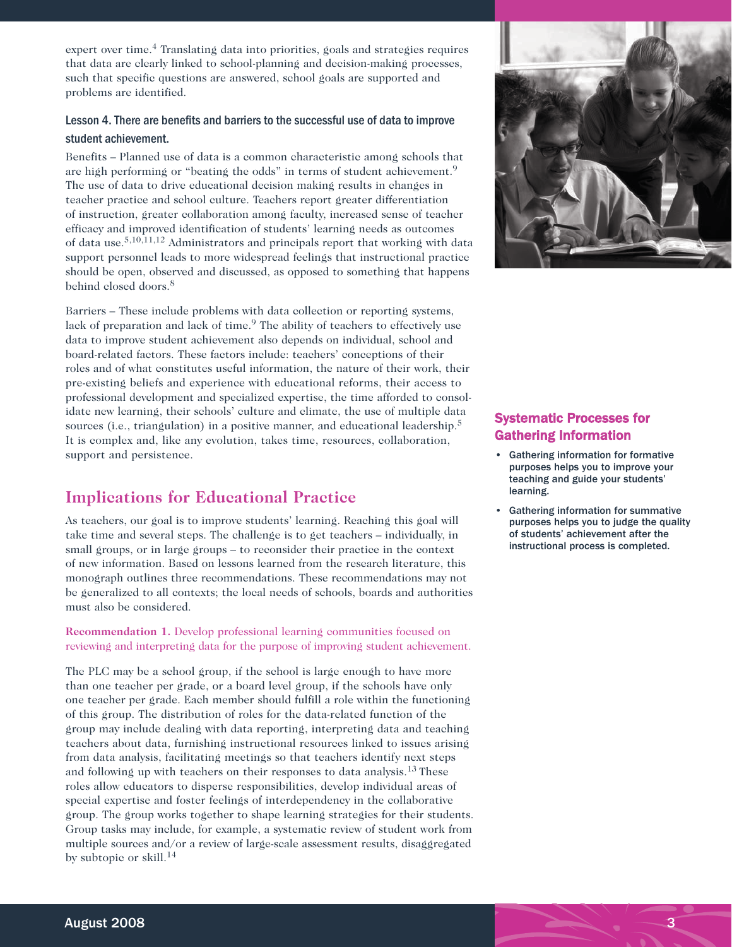expert over time.<sup>4</sup> Translating data into priorities, goals and strategies requires that data are clearly linked to school-planning and decision-making processes, such that specific questions are answered, school goals are supported and problems are identified.

#### Lesson 4. There are benefits and barriers to the successful use of data to improve student achievement.

Benefits – Planned use of data is a common characteristic among schools that are high performing or "beating the odds" in terms of student achievement.<sup>9</sup> The use of data to drive educational decision making results in changes in teacher practice and school culture. Teachers report greater differentiation of instruction, greater collaboration among faculty, increased sense of teacher efficacy and improved identification of students' learning needs as outcomes of data use.5,10,11,12 Administrators and principals report that working with data support personnel leads to more widespread feelings that instructional practice should be open, observed and discussed, as opposed to something that happens behind closed doors.<sup>8</sup>

Barriers – These include problems with data collection or reporting systems, lack of preparation and lack of time.<sup>9</sup> The ability of teachers to effectively use data to improve student achievement also depends on individual, school and board-related factors. These factors include: teachers' conceptions of their roles and of what constitutes useful information, the nature of their work, their pre-existing beliefs and experience with educational reforms, their access to professional development and specialized expertise, the time afforded to consolidate new learning, their schools' culture and climate, the use of multiple data sources (i.e., triangulation) in a positive manner, and educational leadership.<sup>5</sup> It is complex and, like any evolution, takes time, resources, collaboration, support and persistence.

## **Implications for Educational Practice**

As teachers, our goal is to improve students' learning. Reaching this goal will take time and several steps. The challenge is to get teachers – individually, in small groups, or in large groups – to reconsider their practice in the context of new information. Based on lessons learned from the research literature, this monograph outlines three recommendations. These recommendations may not be generalized to all contexts; the local needs of schools, boards and authorities must also be considered.

#### **Recommendation 1.** Develop professional learning communities focused on reviewing and interpreting data for the purpose of improving student achievement.

The PLC may be a school group, if the school is large enough to have more than one teacher per grade, or a board level group, if the schools have only one teacher per grade. Each member should fulfill a role within the functioning of this group. The distribution of roles for the data-related function of the group may include dealing with data reporting, interpreting data and teaching teachers about data, furnishing instructional resources linked to issues arising from data analysis, facilitating meetings so that teachers identify next steps and following up with teachers on their responses to data analysis.<sup>13</sup> These roles allow educators to disperse responsibilities, develop individual areas of special expertise and foster feelings of interdependency in the collaborative group. The group works together to shape learning strategies for their students. Group tasks may include, for example, a systematic review of student work from multiple sources and/or a review of large-scale assessment results, disaggregated by subtopic or skill.<sup>14</sup>



## Systematic Processes for Gathering Information

- Gathering information for formative purposes helps you to improve your teaching and guide your students' learning.
- Gathering information for summative purposes helps you to judge the quality of students' achievement after the instructional process is completed.